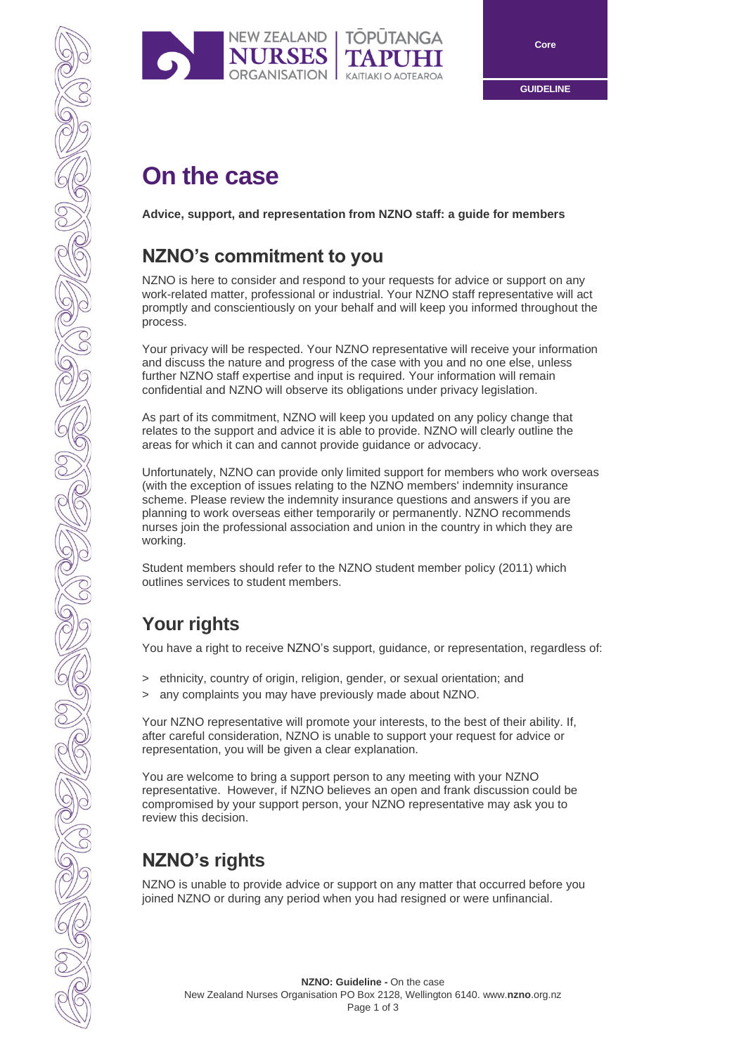

# **On the case**

**Advice, support, and representation from NZNO staff: a guide for members**

# **NZNO's commitment to you**

NEW ZEALAND |

**NURSES** 

NZNO is here to consider and respond to your requests for advice or support on any work-related matter, professional or industrial. Your NZNO staff representative will act promptly and conscientiously on your behalf and will keep you informed throughout the process.

**TOPUTANGA** 

10N | KAITIAKI O AOTEAROA

Your privacy will be respected. Your NZNO representative will receive your information and discuss the nature and progress of the case with you and no one else, unless further NZNO staff expertise and input is required. Your information will remain confidential and NZNO will observe its obligations under privacy legislation.

As part of its commitment, NZNO will keep you updated on any policy change that relates to the support and advice it is able to provide. NZNO will clearly outline the areas for which it can and cannot provide guidance or advocacy.

Unfortunately, NZNO can provide only limited support for members who work overseas (with the exception of issues relating to the NZNO members' indemnity insurance scheme. Please review the indemnity insurance questions and answers if you are planning to work overseas either temporarily or permanently. NZNO recommends nurses join the professional association and union in the country in which they are working.

Student members should refer to the NZNO student member policy (2011) which outlines services to student members.

# **Your rights**

You have a right to receive NZNO's support, guidance, or representation, regardless of:

- > ethnicity, country of origin, religion, gender, or sexual orientation; and
- > any complaints you may have previously made about NZNO.

Your NZNO representative will promote your interests, to the best of their ability. If, after careful consideration, NZNO is unable to support your request for advice or representation, you will be given a clear explanation.

You are welcome to bring a support person to any meeting with your NZNO representative. However, if NZNO believes an open and frank discussion could be compromised by your support person, your NZNO representative may ask you to review this decision.

# **NZNO's rights**

NZNO is unable to provide advice or support on any matter that occurred before you joined NZNO or during any period when you had resigned or were unfinancial.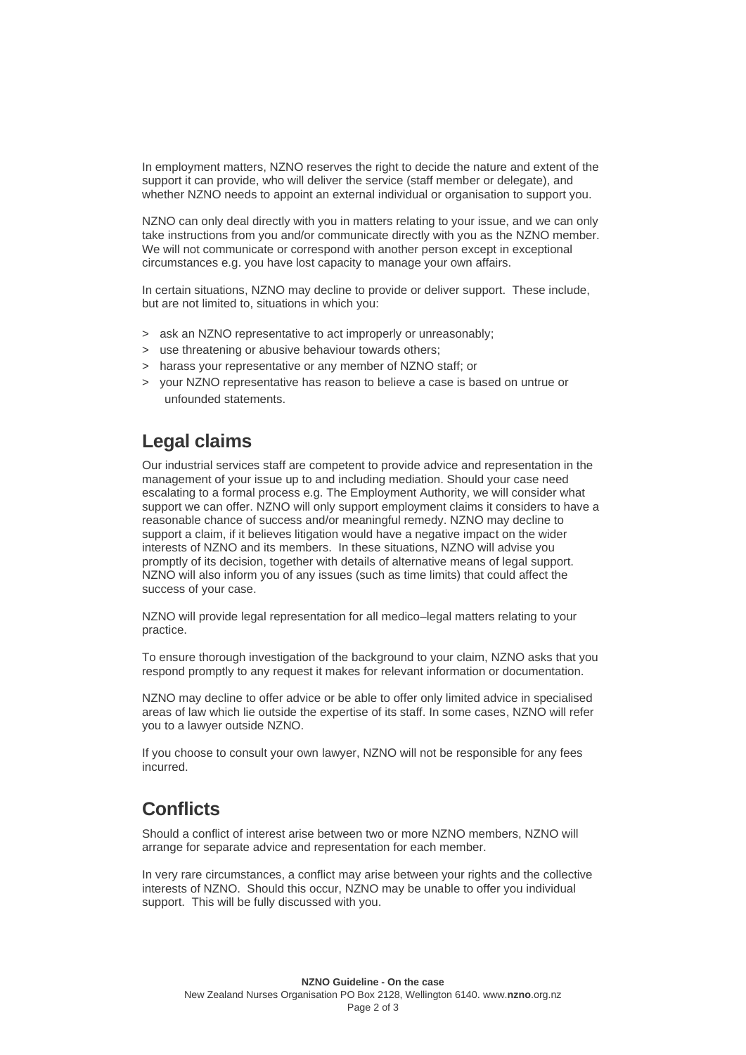In employment matters, NZNO reserves the right to decide the nature and extent of the support it can provide, who will deliver the service (staff member or delegate), and whether NZNO needs to appoint an external individual or organisation to support you.

NZNO can only deal directly with you in matters relating to your issue, and we can only take instructions from you and/or communicate directly with you as the NZNO member. We will not communicate or correspond with another person except in exceptional circumstances e.g. you have lost capacity to manage your own affairs.

In certain situations, NZNO may decline to provide or deliver support. These include, but are not limited to, situations in which you:

- > ask an NZNO representative to act improperly or unreasonably;
- > use threatening or abusive behaviour towards others;
- > harass your representative or any member of NZNO staff; or
- > your NZNO representative has reason to believe a case is based on untrue or unfounded statements.

#### **Legal claims**

Our industrial services staff are competent to provide advice and representation in the management of your issue up to and including mediation. Should your case need escalating to a formal process e.g. The Employment Authority, we will consider what support we can offer. NZNO will only support employment claims it considers to have a reasonable chance of success and/or meaningful remedy. NZNO may decline to support a claim, if it believes litigation would have a negative impact on the wider interests of NZNO and its members. In these situations, NZNO will advise you promptly of its decision, together with details of alternative means of legal support. NZNO will also inform you of any issues (such as time limits) that could affect the success of your case.

NZNO will provide legal representation for all medico–legal matters relating to your practice.

To ensure thorough investigation of the background to your claim, NZNO asks that you respond promptly to any request it makes for relevant information or documentation.

NZNO may decline to offer advice or be able to offer only limited advice in specialised areas of law which lie outside the expertise of its staff. In some cases, NZNO will refer you to a lawyer outside NZNO.

If you choose to consult your own lawyer, NZNO will not be responsible for any fees incurred.

## **Conflicts**

Should a conflict of interest arise between two or more NZNO members, NZNO will arrange for separate advice and representation for each member.

In very rare circumstances, a conflict may arise between your rights and the collective interests of NZNO. Should this occur, NZNO may be unable to offer you individual support. This will be fully discussed with you.